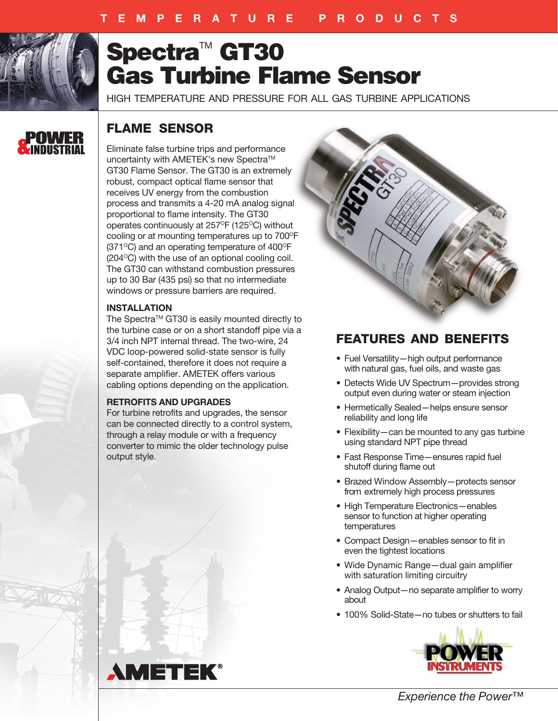

# **Spectra™ GT30 Gas Turbine Flame Sensor**

HIGH TEMPERATURE AND PRESSURE FOR ALL GAS TURBINE APPLICATIONS



# **FLAME SENSOR**

Eliminate false turbine trips and performance uncertainty with AMETEK's new Spectra™ GT30 Flame Sensor. The GT30 is an extremely robust, compact optical flame sensor that receives UV energy from the combustion process and transmits a 4-20 mA analog signal proportional to flame intensity. The GT30 operates continuously at 257°F (125°C) without cooling or at mounting temperatures up to 700°F  $(371^{\circ}C)$  and an operating temperature of 400 $^{\circ}F$  $(204\textdegree C)$  with the use of an optional cooling coil. The GT30 can withstand combustion pressures up to 30 Bar (435 psi) so that no intermediate windows or pressure barriers are required.

### **INSTALLATION**

The Spectra™ GT30 is easily mounted directly to the turbine case or on a short standoff pipe via a 3/4 inch NPT internal thread. The two-wire, 24 VDC loop-powered solid-state sensor is fully self-contained, therefore it does not require a separate amplifier. AMETEK offers various cabling options depending on the application.

### **RETROFITS AND UPGRADES**

For turbine retrofits and upgrades, the sensor can be connected directly to a control system, through a relay module or with a frequency converter to mimic the older technology pulse output style.



## **FEATURES AND BENEFITS**

- Fuel Versatility—high output performance with natural gas, fuel oils, and waste gas
- Detects Wide UV Spectrum—provides strong output even during water or steam injection
- Hermetically Sealed—helps ensure sensor reliability and long life
- Flexibility—can be mounted to any gas turbine using standard NPT pipe thread
- Fast Response Time—ensures rapid fuel shutoff during flame out
- Brazed Window Assembly—protects sensor from extremely high process pressures
- High Temperature Electronics—enables sensor to function at higher operating temperatures
- Compact Design—enables sensor to fit in even the tightest locations
- Wide Dynamic Range—dual gain amplifier with saturation limiting circuitry
- Analog Output—no separate amplifier to worry about
- 100% Solid-State—no tubes or shutters to fail





*Experience the Power™*